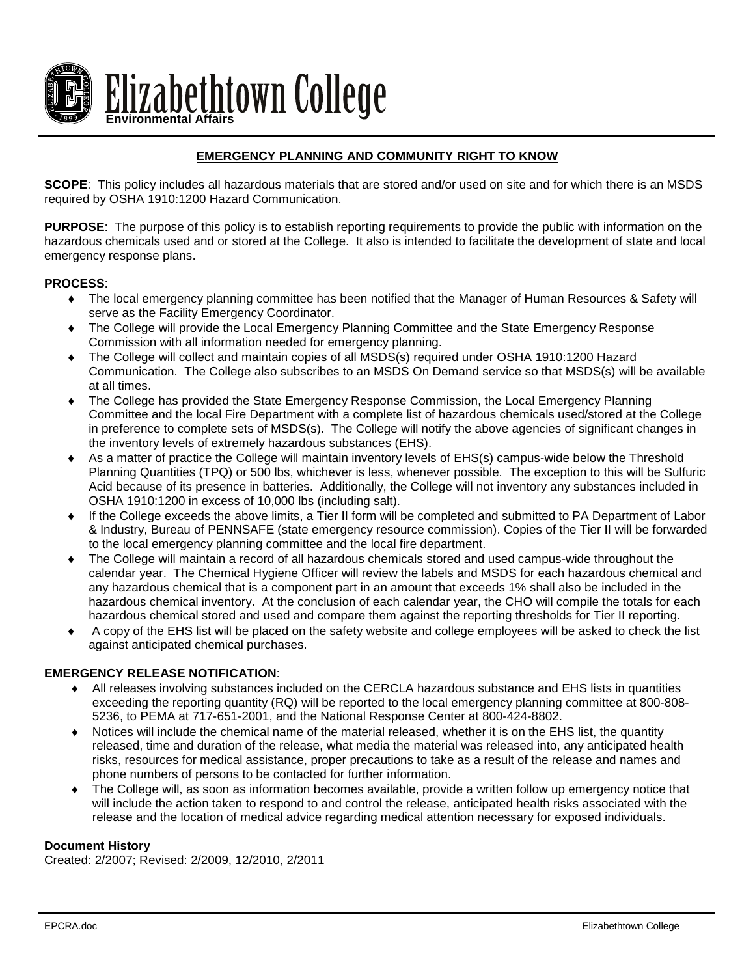

# **EMERGENCY PLANNING AND COMMUNITY RIGHT TO KNOW**

**SCOPE**: This policy includes all hazardous materials that are stored and/or used on site and for which there is an MSDS required by OSHA 1910:1200 Hazard Communication.

**PURPOSE**: The purpose of this policy is to establish reporting requirements to provide the public with information on the hazardous chemicals used and or stored at the College. It also is intended to facilitate the development of state and local emergency response plans.

### **PROCESS**:

- ♦ The local emergency planning committee has been notified that the Manager of Human Resources & Safety will serve as the Facility Emergency Coordinator.
- The College will provide the Local Emergency Planning Committee and the State Emergency Response Commission with all information needed for emergency planning.
- The College will collect and maintain copies of all MSDS(s) required under OSHA 1910:1200 Hazard Communication. The College also subscribes to an MSDS On Demand service so that MSDS(s) will be available at all times.
- The College has provided the State Emergency Response Commission, the Local Emergency Planning Committee and the local Fire Department with a complete list of hazardous chemicals used/stored at the College in preference to complete sets of MSDS(s). The College will notify the above agencies of significant changes in the inventory levels of extremely hazardous substances (EHS).
- ♦ As a matter of practice the College will maintain inventory levels of EHS(s) campus-wide below the Threshold Planning Quantities (TPQ) or 500 lbs, whichever is less, whenever possible. The exception to this will be Sulfuric Acid because of its presence in batteries. Additionally, the College will not inventory any substances included in OSHA 1910:1200 in excess of 10,000 lbs (including salt).
- ♦ If the College exceeds the above limits, a Tier II form will be completed and submitted to PA Department of Labor & Industry, Bureau of PENNSAFE (state emergency resource commission). Copies of the Tier II will be forwarded to the local emergency planning committee and the local fire department.
- The College will maintain a record of all hazardous chemicals stored and used campus-wide throughout the calendar year. The Chemical Hygiene Officer will review the labels and MSDS for each hazardous chemical and any hazardous chemical that is a component part in an amount that exceeds 1% shall also be included in the hazardous chemical inventory. At the conclusion of each calendar year, the CHO will compile the totals for each hazardous chemical stored and used and compare them against the reporting thresholds for Tier II reporting.
- ♦ A copy of the EHS list will be placed on the safety website and college employees will be asked to check the list against anticipated chemical purchases.

## **EMERGENCY RELEASE NOTIFICATION**:

- ♦ All releases involving substances included on the CERCLA hazardous substance and EHS lists in quantities exceeding the reporting quantity (RQ) will be reported to the local emergency planning committee at 800-808- 5236, to PEMA at 717-651-2001, and the National Response Center at 800-424-8802.
- ♦ Notices will include the chemical name of the material released, whether it is on the EHS list, the quantity released, time and duration of the release, what media the material was released into, any anticipated health risks, resources for medical assistance, proper precautions to take as a result of the release and names and phone numbers of persons to be contacted for further information.
- The College will, as soon as information becomes available, provide a written follow up emergency notice that will include the action taken to respond to and control the release, anticipated health risks associated with the release and the location of medical advice regarding medical attention necessary for exposed individuals.

### **Document History**

Created: 2/2007; Revised: 2/2009, 12/2010, 2/2011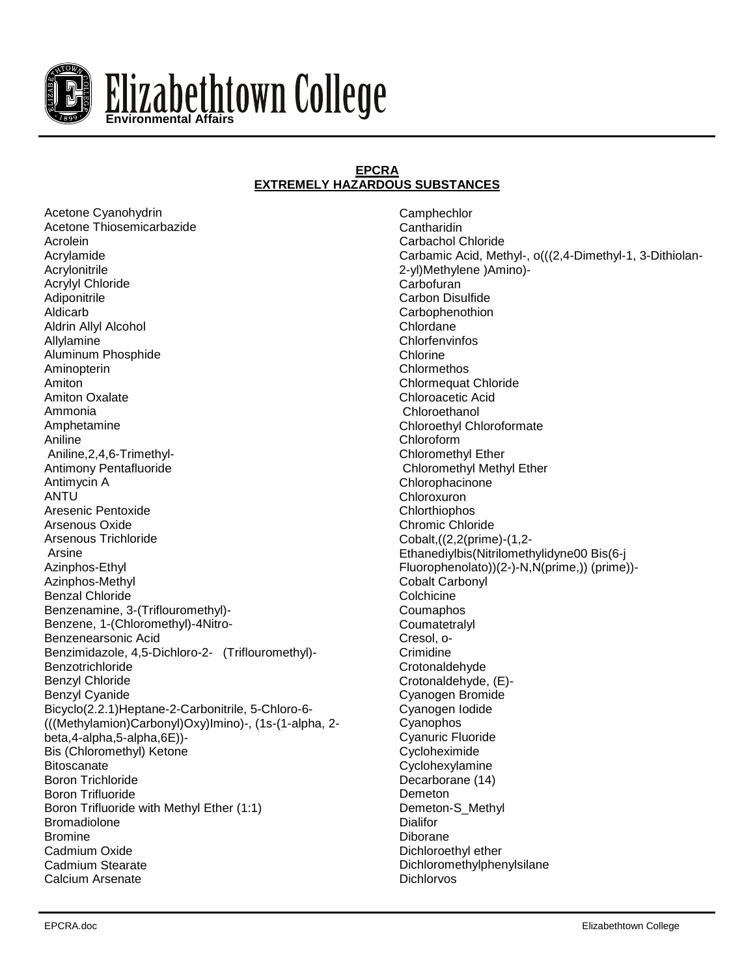

### **EPCRA EXTREMELY HAZARDOUS SUBSTANCES**

Acetone Cyanohydrin Acetone Thiosemicarbazide Acrolein Acrylamide Acrylonitrile Acrylyl Chloride Adiponitrile Aldicarb Aldrin Allyl Alcohol Allylamine Aluminum Phosphide Aminopterin Amiton Amiton Oxalate Ammonia Amphetamine Aniline Aniline,2,4,6-Trimethyl-Antimony Pentafluoride Antimycin A ANTU Aresenic Pentoxide Arsenous Oxide Arsenous Trichloride Arsine Azinphos-Ethyl Azinphos-Methyl Benzal Chloride Benzenamine, 3-(Triflouromethyl)- Benzene, 1-(Chloromethyl)-4Nitro-Benzenearsonic Acid Benzimidazole, 4,5-Dichloro-2- (Triflouromethyl)- Benzotrichloride Benzyl Chloride Benzyl Cyanide Bicyclo(2.2.1)Heptane-2-Carbonitrile, 5-Chloro-6- (((Methylamion)Carbonyl)Oxy)Imino)-, (1s-(1-alpha, 2 beta,4-alpha,5-alpha,6E))- Bis (Chloromethyl) Ketone **Bitoscanate** Boron Trichloride Boron Trifluoride Boron Trifluoride with Methyl Ether (1:1) Bromadiolone Bromine Cadmium Oxide Cadmium Stearate Calcium Arsenate

**Camphechlor Cantharidin** Carbachol Chloride Carbamic Acid, Methyl-, o(((2,4-Dimethyl-1, 3-Dithiolan-2-yl)Methylene )Amino)- Carbofuran Carbon Disulfide **Carbophenothion** Chlordane Chlorfenvinfos Chlorine Chlormethos Chlormequat Chloride Chloroacetic Acid Chloroethanol Chloroethyl Chloroformate Chloroform Chloromethyl Ether Chloromethyl Methyl Ether Chlorophacinone Chloroxuron **Chlorthiophos** Chromic Chloride Cobalt,((2,2(prime)-(1,2- Ethanediylbis(Nitrilomethylidyne00 Bis(6-j Fluorophenolato))(2-)-N,N(prime,)) (prime))- Cobalt Carbonyl **Colchicine Coumaphos Coumatetralyl** Cresol, o-**Crimidine Crotonaldehyde** Crotonaldehyde, (E)- Cyanogen Bromide Cyanogen Iodide Cyanophos Cyanuric Fluoride Cycloheximide Cyclohexylamine Decarborane (14) Demeton Demeton-S\_Methyl **Dialifor** Diborane Dichloroethyl ether Dichloromethylphenylsilane Dichlorvos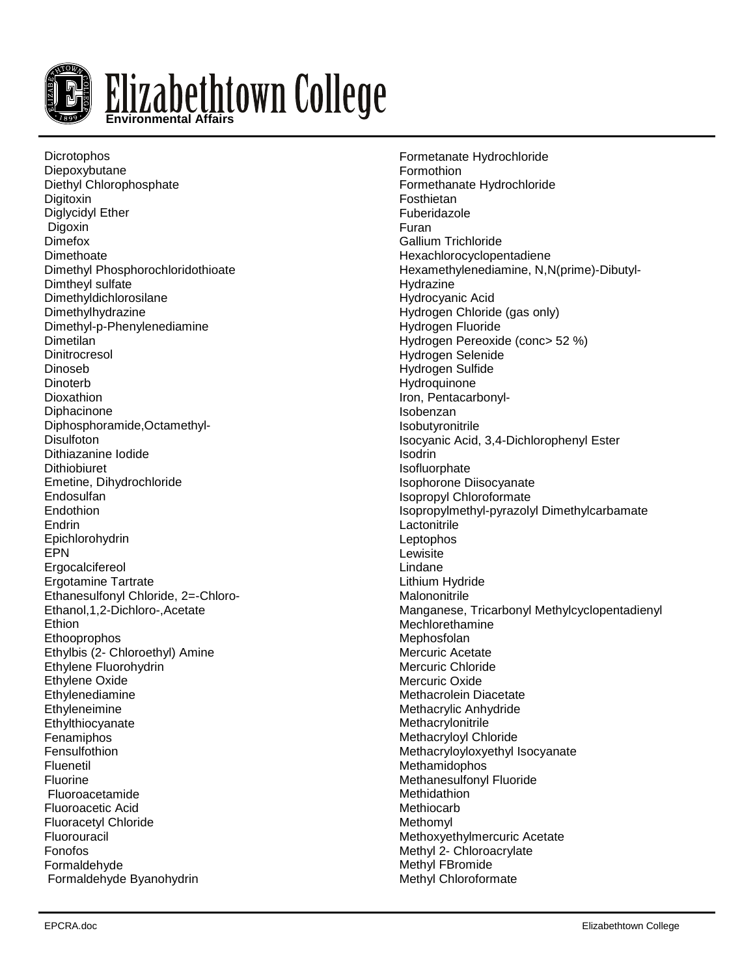

**Dicrotophos** Diepoxybutane Diethyl Chlorophosphate **Digitoxin** Diglycidyl Ether Digoxin Dimefox **Dimethoate** Dimethyl Phosphorochloridothioate Dimtheyl sulfate Dimethyldichlorosilane Dimethylhydrazine Dimethyl-p-Phenylenediamine **Dimetilan Dinitrocresol** Dinoseb **Dinoterb** Dioxathion Diphacinone Diphosphoramide,Octamethyl-**Disulfoton** Dithiazanine Iodide **Dithiobiuret** Emetine, Dihydrochloride Endosulfan Endothion Endrin Epichlorohydrin EPN Ergocalcifereol Ergotamine Tartrate Ethanesulfonyl Chloride, 2=-Chloro-Ethanol,1,2-Dichloro-,Acetate **Ethion** Ethooprophos Ethylbis (2- Chloroethyl) Amine Ethylene Fluorohydrin Ethylene Oxide Ethylenediamine **Ethyleneimine** Ethylthiocyanate Fenamiphos Fensulfothion Fluenetil Fluorine Fluoroacetamide Fluoroacetic Acid Fluoracetyl Chloride Fluorouracil Fonofos Formaldehyde Formaldehyde Byanohydrin

Formetanate Hydrochloride Formothion Formethanate Hydrochloride Fosthietan Fuberidazole Furan Gallium Trichloride Hexachlorocyclopentadiene Hexamethylenediamine, N,N(prime)-Dibutyl-Hydrazine Hydrocyanic Acid Hydrogen Chloride (gas only) Hydrogen Fluoride Hydrogen Pereoxide (conc> 52 %) Hydrogen Selenide Hydrogen Sulfide Hydroquinone Iron, Pentacarbonyl-Isobenzan Isobutyronitrile Isocyanic Acid, 3,4-Dichlorophenyl Ester Isodrin Isofluorphate Isophorone Diisocyanate Isopropyl Chloroformate Isopropylmethyl-pyrazolyl Dimethylcarbamate Lactonitrile Leptophos Lewisite Lindane Lithium Hydride **Malononitrile** Manganese, Tricarbonyl Methylcyclopentadienyl Mechlorethamine Mephosfolan Mercuric Acetate Mercuric Chloride Mercuric Oxide Methacrolein Diacetate Methacrylic Anhydride Methacrylonitrile Methacryloyl Chloride Methacryloyloxyethyl Isocyanate Methamidophos Methanesulfonyl Fluoride Methidathion **Methiocarb Methomyl** Methoxyethylmercuric Acetate Methyl 2- Chloroacrylate Methyl FBromide Methyl Chloroformate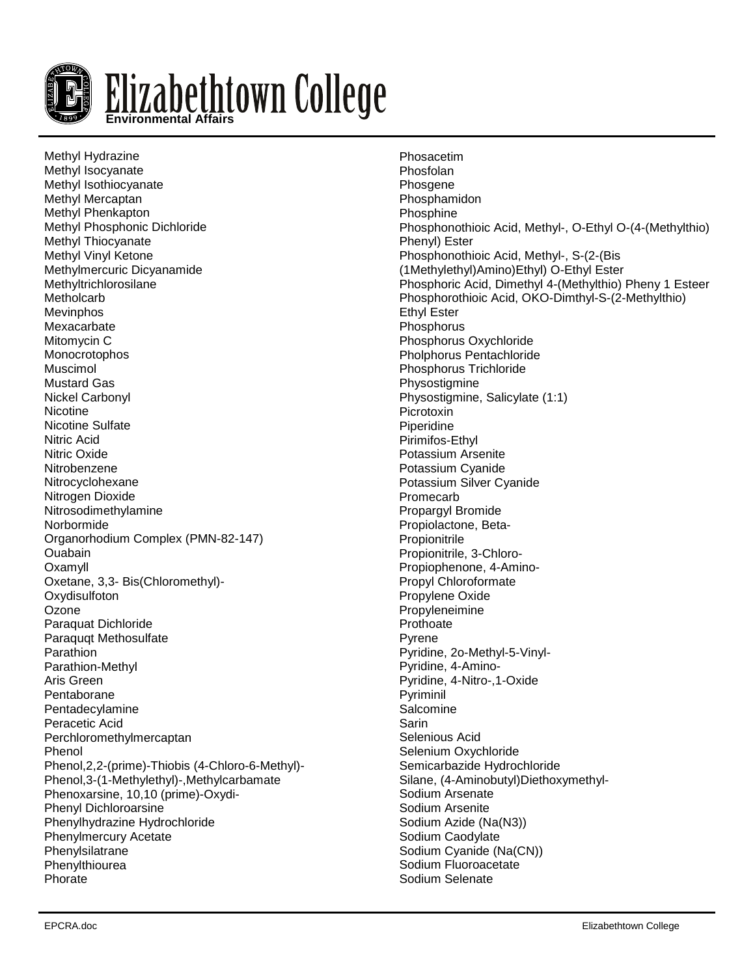

Methyl Hydrazine Methyl Isocyanate Methyl Isothiocyanate Methyl Mercaptan Methyl Phenkapton Methyl Phosphonic Dichloride Methyl Thiocyanate Methyl Vinyl Ketone Methylmercuric Dicyanamide Methyltrichlorosilane **Metholcarb** Mevinphos Mexacarbate Mitomycin C **Monocrotophos** Muscimol Mustard Gas Nickel Carbonyl **Nicotine** Nicotine Sulfate Nitric Acid Nitric Oxide Nitrobenzene Nitrocyclohexane Nitrogen Dioxide Nitrosodimethylamine Norbormide Organorhodium Complex (PMN-82-147) Ouabain Oxamyll Oxetane, 3,3- Bis(Chloromethyl)- **Oxydisulfoton Ozone** Paraquat Dichloride Paraquqt Methosulfate Parathion Parathion-Methyl Aris Green Pentaborane Pentadecylamine Peracetic Acid Perchloromethylmercaptan Phenol Phenol,2,2-(prime)-Thiobis (4-Chloro-6-Methyl)- Phenol,3-(1-Methylethyl)-,Methylcarbamate Phenoxarsine, 10,10 (prime)-Oxydi-Phenyl Dichloroarsine Phenylhydrazine Hydrochloride Phenylmercury Acetate Phenylsilatrane Phenylthiourea Phorate

Phosacetim Phosfolan **Phosgene Phosphamidon** Phosphine Phosphonothioic Acid, Methyl-, O-Ethyl O-(4-(Methylthio) Phenyl) Ester Phosphonothioic Acid, Methyl-, S-(2-(Bis (1Methylethyl)Amino)Ethyl) O-Ethyl Ester Phosphoric Acid, Dimethyl 4-(Methylthio) Pheny 1 Esteer Phosphorothioic Acid, OKO-Dimthyl-S-(2-Methylthio) Ethyl Ester **Phosphorus** Phosphorus Oxychloride Pholphorus Pentachloride Phosphorus Trichloride Physostigmine Physostigmine, Salicylate (1:1) **Picrotoxin** Piperidine Pirimifos-Ethyl Potassium Arsenite Potassium Cyanide Potassium Silver Cyanide Promecarb Propargyl Bromide Propiolactone, Beta-**Propionitrile** Propionitrile, 3-Chloro-Propiophenone, 4-Amino-Propyl Chloroformate Propylene Oxide Propyleneimine **Prothoate** Pyrene Pyridine, 2o-Methyl-5-Vinyl-Pyridine, 4-Amino-Pyridine, 4-Nitro-,1-Oxide Pyriminil **Salcomine** Sarin Selenious Acid Selenium Oxychloride Semicarbazide Hydrochloride Silane, (4-Aminobutyl)Diethoxymethyl-Sodium Arsenate Sodium Arsenite Sodium Azide (Na(N3)) Sodium Caodylate Sodium Cyanide (Na(CN)) Sodium Fluoroacetate Sodium Selenate